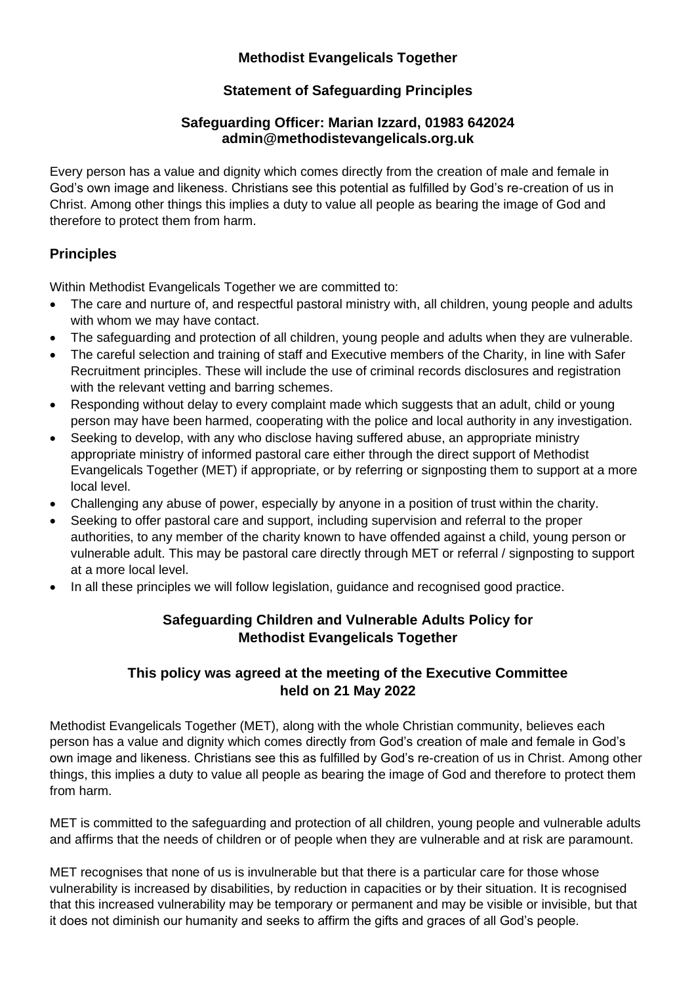## **Methodist Evangelicals Together**

# **Statement of Safeguarding Principles**

#### **Safeguarding Officer: Marian Izzard, 01983 642024 admin@methodistevangelicals.org.uk**

Every person has a value and dignity which comes directly from the creation of male and female in God's own image and likeness. Christians see this potential as fulfilled by God's re-creation of us in Christ. Among other things this implies a duty to value all people as bearing the image of God and therefore to protect them from harm.

# **Principles**

Within Methodist Evangelicals Together we are committed to:

- The care and nurture of, and respectful pastoral ministry with, all children, young people and adults with whom we may have contact.
- The safeguarding and protection of all children, young people and adults when they are vulnerable.
- The careful selection and training of staff and Executive members of the Charity, in line with Safer Recruitment principles. These will include the use of criminal records disclosures and registration with the relevant vetting and barring schemes.
- Responding without delay to every complaint made which suggests that an adult, child or young person may have been harmed, cooperating with the police and local authority in any investigation.
- Seeking to develop, with any who disclose having suffered abuse, an appropriate ministry appropriate ministry of informed pastoral care either through the direct support of Methodist Evangelicals Together (MET) if appropriate, or by referring or signposting them to support at a more local level.
- Challenging any abuse of power, especially by anyone in a position of trust within the charity.
- Seeking to offer pastoral care and support, including supervision and referral to the proper authorities, to any member of the charity known to have offended against a child, young person or vulnerable adult. This may be pastoral care directly through MET or referral / signposting to support at a more local level.
- In all these principles we will follow legislation, guidance and recognised good practice.

# **Safeguarding Children and Vulnerable Adults Policy for Methodist Evangelicals Together**

## **This policy was agreed at the meeting of the Executive Committee held on 21 May 2022**

Methodist Evangelicals Together (MET), along with the whole Christian community, believes each person has a value and dignity which comes directly from God's creation of male and female in God's own image and likeness. Christians see this as fulfilled by God's re-creation of us in Christ. Among other things, this implies a duty to value all people as bearing the image of God and therefore to protect them from harm.

MET is committed to the safeguarding and protection of all children, young people and vulnerable adults and affirms that the needs of children or of people when they are vulnerable and at risk are paramount.

MET recognises that none of us is invulnerable but that there is a particular care for those whose vulnerability is increased by disabilities, by reduction in capacities or by their situation. It is recognised that this increased vulnerability may be temporary or permanent and may be visible or invisible, but that it does not diminish our humanity and seeks to affirm the gifts and graces of all God's people.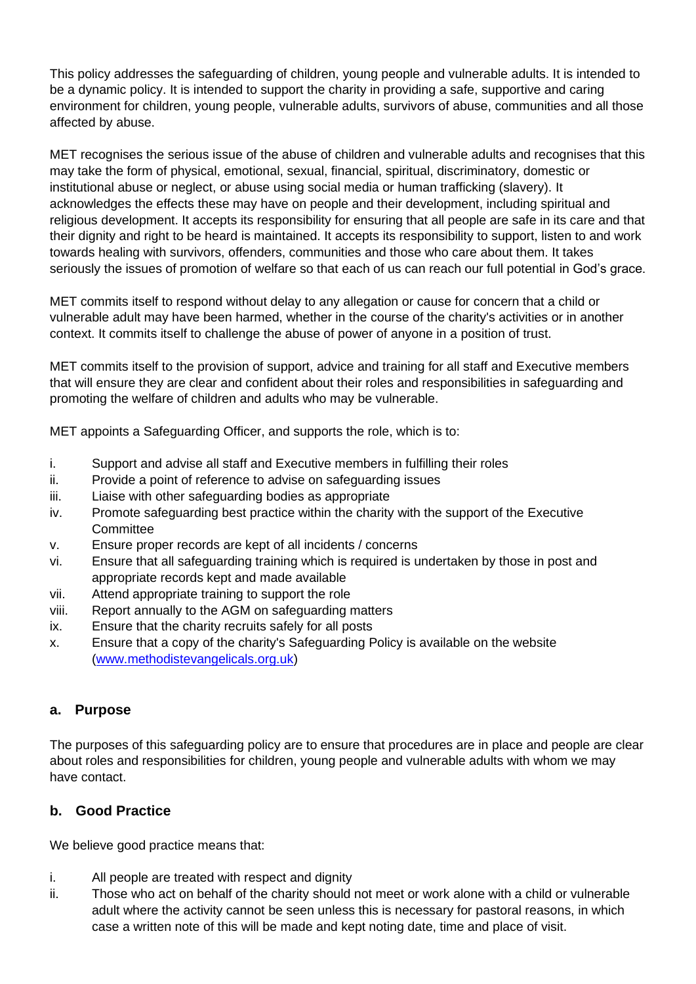This policy addresses the safeguarding of children, young people and vulnerable adults. It is intended to be a dynamic policy. It is intended to support the charity in providing a safe, supportive and caring environment for children, young people, vulnerable adults, survivors of abuse, communities and all those affected by abuse.

MET recognises the serious issue of the abuse of children and vulnerable adults and recognises that this may take the form of physical, emotional, sexual, financial, spiritual, discriminatory, domestic or institutional abuse or neglect, or abuse using social media or human trafficking (slavery). It acknowledges the effects these may have on people and their development, including spiritual and religious development. It accepts its responsibility for ensuring that all people are safe in its care and that their dignity and right to be heard is maintained. It accepts its responsibility to support, listen to and work towards healing with survivors, offenders, communities and those who care about them. It takes seriously the issues of promotion of welfare so that each of us can reach our full potential in God's grace.

MET commits itself to respond without delay to any allegation or cause for concern that a child or vulnerable adult may have been harmed, whether in the course of the charity's activities or in another context. It commits itself to challenge the abuse of power of anyone in a position of trust.

MET commits itself to the provision of support, advice and training for all staff and Executive members that will ensure they are clear and confident about their roles and responsibilities in safeguarding and promoting the welfare of children and adults who may be vulnerable.

MET appoints a Safeguarding Officer, and supports the role, which is to:

- i. Support and advise all staff and Executive members in fulfilling their roles
- ii. Provide a point of reference to advise on safeguarding issues
- iii. Liaise with other safeguarding bodies as appropriate
- iv. Promote safeguarding best practice within the charity with the support of the Executive **Committee**
- v. Ensure proper records are kept of all incidents / concerns
- vi. Ensure that all safeguarding training which is required is undertaken by those in post and appropriate records kept and made available
- vii. Attend appropriate training to support the role
- viii. Report annually to the AGM on safeguarding matters
- ix. Ensure that the charity recruits safely for all posts
- x. Ensure that a copy of the charity's Safeguarding Policy is available on the website [\(www.methodistevangelicals.org.uk\)](http://www.methodistevangelicals.org.uk/)

## **a. Purpose**

The purposes of this safeguarding policy are to ensure that procedures are in place and people are clear about roles and responsibilities for children, young people and vulnerable adults with whom we may have contact.

## **b. Good Practice**

We believe good practice means that:

- i. All people are treated with respect and dignity
- ii. Those who act on behalf of the charity should not meet or work alone with a child or vulnerable adult where the activity cannot be seen unless this is necessary for pastoral reasons, in which case a written note of this will be made and kept noting date, time and place of visit.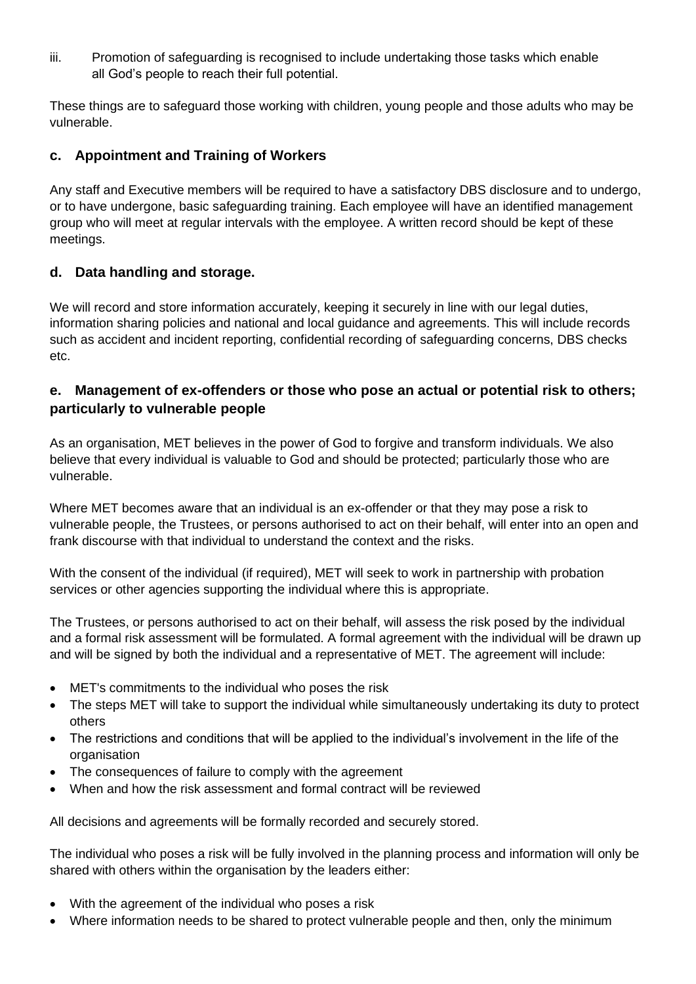iii. Promotion of safeguarding is recognised to include undertaking those tasks which enable all God's people to reach their full potential.

These things are to safeguard those working with children, young people and those adults who may be vulnerable.

### **c. Appointment and Training of Workers**

Any staff and Executive members will be required to have a satisfactory DBS disclosure and to undergo, or to have undergone, basic safeguarding training. Each employee will have an identified management group who will meet at regular intervals with the employee. A written record should be kept of these meetings.

### **d. Data handling and storage.**

We will record and store information accurately, keeping it securely in line with our legal duties, information sharing policies and national and local guidance and agreements. This will include records such as accident and incident reporting, confidential recording of safeguarding concerns, DBS checks etc.

### **e. Management of ex-offenders or those who pose an actual or potential risk to others; particularly to vulnerable people**

As an organisation, MET believes in the power of God to forgive and transform individuals. We also believe that every individual is valuable to God and should be protected; particularly those who are vulnerable.

Where MET becomes aware that an individual is an ex-offender or that they may pose a risk to vulnerable people, the Trustees, or persons authorised to act on their behalf, will enter into an open and frank discourse with that individual to understand the context and the risks.

With the consent of the individual (if required), MET will seek to work in partnership with probation services or other agencies supporting the individual where this is appropriate.

The Trustees, or persons authorised to act on their behalf, will assess the risk posed by the individual and a formal risk assessment will be formulated. A formal agreement with the individual will be drawn up and will be signed by both the individual and a representative of MET. The agreement will include:

- MET's commitments to the individual who poses the risk
- The steps MET will take to support the individual while simultaneously undertaking its duty to protect others
- The restrictions and conditions that will be applied to the individual's involvement in the life of the organisation
- The consequences of failure to comply with the agreement
- When and how the risk assessment and formal contract will be reviewed

All decisions and agreements will be formally recorded and securely stored.

The individual who poses a risk will be fully involved in the planning process and information will only be shared with others within the organisation by the leaders either:

- With the agreement of the individual who poses a risk
- Where information needs to be shared to protect vulnerable people and then, only the minimum